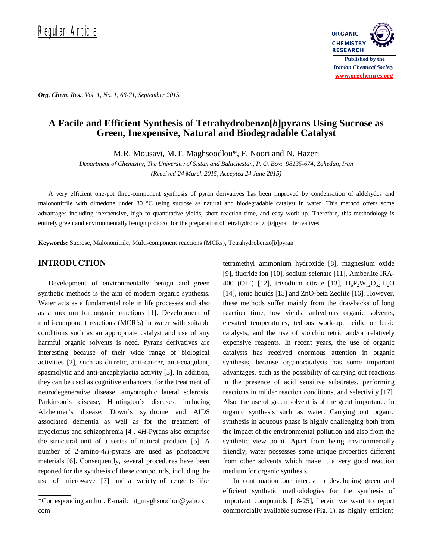

*Org. Chem. Res., Vol. 1, No. 1, 66-71, September 2015.*

# **A Facile and Efficient Synthesis of Tetrahydrobenzo[***b***]pyrans Using Sucrose as Green, Inexpensive, Natural and Biodegradable Catalyst**

M.R. Mousavi, M.T. Maghsoodlou\*, F. Noori and N. Hazeri

*Department of Chemistry, The University of Sistan and Baluchestan, P. O. Box: 98135-674, Zahedan, Iran (Received 24 March 2015, Accepted 24 June 2015)*

A very efficient one-pot three-component synthesis of pyran derivatives has been improved by condensation of aldehydes and malononitrile with dimedone under 80 °C using sucrose as natural and biodegradable catalyst in water. This method offers some advantages including inexpensive, high to quantitative yields, short reaction time, and easy work-up. Therefore, this methodology is entirely green and environmentally benign protocol for the preparation of tetrahydrobenzo[*b*]pyran derivatives.

**Keywords:** Sucrose, Malononitrile, Multi-component reactions (MCRs), Tetrahydrobenzo[*b*]pyran

#### **INTRODUCTION**

Development of environmentally benign and green synthetic methods is the aim of modern organic synthesis. Water acts as a fundamental role in life processes and also as a medium for organic reactions [1]. Development of multi-component reactions (MCR's) in water with suitable conditions such as an appropriate catalyst and use of any harmful organic solvents is need. Pyrans derivatives are interesting because of their wide range of biological activities [2], such as diuretic, anti-cancer, anti-coagulant, spasmolytic and anti-ancaphylactia activity [3]. In addition, they can be used as cognitive enhancers, for the treatment of neurodegenerative disease, amyotrophic lateral sclerosis, Parkinson's disease, Huntington's diseases, including Alzheimer's disease, Down's syndrome and AIDS associated dementia as well as for the treatment of myoclonus and schizophrenia [4]. 4*H*-Pyrans also comprise the structural unit of a series of natural products [5]. A number of 2-amino-4*H*-pyrans are used as photoactive materials [6]. Consequently, several procedures have been reported for the synthesis of these compounds, including the use of microwave [7] and a variety of reagents like

tetramethyl ammonium hydroxide [8], magnesium oxide [9], fluoride ion [10], sodium selenate [11], Amberlite IRA-400 (OH) [12], trisodium citrate [13],  $H_6P_2W_{12}O_{62}H_2O$ [14], ionic liquids [15] and ZnO-beta Zeolite [16]. However, these methods suffer mainly from the drawbacks of long reaction time, low yields, anhydrous organic solvents, elevated temperatures, tedious work-up, acidic or basic catalysts, and the use of stoichiometric and/or relatively expensive reagents. In recent years, the use of organic catalysts has received enormous attention in organic synthesis, because organocatalysis has some important advantages, such as the possibility of carrying out reactions in the presence of acid sensitive substrates, performing reactions in milder reaction conditions, and selectivity [17]. Also, the use of green solvent is of the great importance in organic synthesis such as water. Carrying out organic synthesis in aqueous phase is highly challenging both from the impact of the environmental pollution and also from the synthetic view point. Apart from being environmentally friendly, water possesses some unique properties different from other solvents which make it a very good reaction medium for organic synthesis.

In continuation our interest in developing green and efficient synthetic methodologies for the synthesis of important compounds [18-25], herein we want to report commercially available sucrose (Fig. 1), as highly efficient

<sup>\*</sup>Corresponding author. E-mail: mt\_maghsoodlou@yahoo. com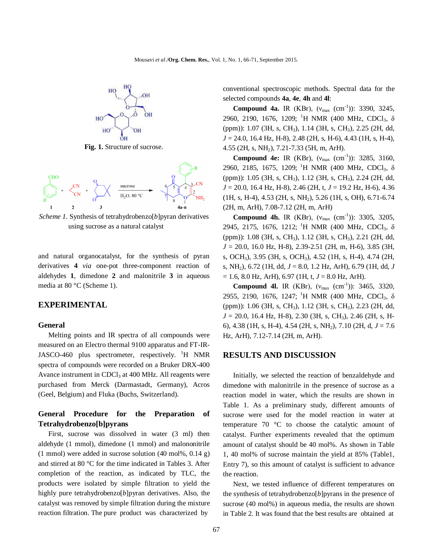

**Fig. 1.** Structure of sucrose.



*Scheme 1.* Synthesis of tetrahydrobenzo[b]pyran derivatives using sucrose as a natural catalyst

and natural organocatalyst, for the synthesis of pyran derivatives **4** *via* one-pot three-component reaction of aldehydes **1**, dimedone **2** and malonitrile **3** in aqueous media at 80 °C (Scheme 1).

#### **EXPERIMENTAL**

#### **General**

Melting points and IR spectra of all compounds were measured on an Electro thermal 9100 apparatus and FT-IR-JASCO-460 plus spectrometer, respectively.  ${}^{1}H$  NMR spectra of compounds were recorded on a Bruker DRX-400 Avance instrument in  $CDCl<sub>3</sub>$  at 400 MHz. All reagents were purchased from Merck (Darmastadt, Germany), Acros (Geel, Belgium) and Fluka (Buchs, Switzerland).

### **General Procedure for the Preparation of Tetrahydrobenzo[b]pyrans**

First, sucrose was dissolved in water (3 ml) then aldehyde (1 mmol), dimedone (1 mmol) and malononitrile (1 mmol) were added in sucrose solution (40 mol%, 0.14 g) and stirred at 80 °C for the time indicated in Tables 3. After completion of the reaction, as indicated by TLC, the products were isolated by simple filtration to yield the highly pure tetrahydrobenzo[*b*]pyran derivatives. Also, the catalyst was removed by simple filtration during the mixture reaction filtration. The pure product was characterized by

conventional spectroscopic methods. Spectral data for the selected compounds **4a**, **4e**, **4h** and **4l**:

**Compound 4a.** IR (KBr),  $(v_{max} (cm^{-1}))$ : 3390, 3245, 2960, 2190, 1676, 1209; <sup>1</sup>H NMR (400 MHz, CDCl<sub>3</sub>, δ (ppm)): 1.07 (3H, s, CH3), 1.14 (3H, s, CH3), 2.25 (2H, dd, *J* = 24.0, 16.4 Hz, H-8), 2.48 (2H, s, H-6), 4.43 (1H, s, H-4), 4.55 (2H, s, NH2), 7.21-7.33 (5H, m, ArH).

**Compound 4e:** IR (KBr),  $(v_{max} (cm^{-1}))$ : 3285, 3160, 2960, 2185, 1675, 1209;<sup>1</sup>H NMR (400 MHz, CDCl<sub>3</sub>,  $\delta$ (ppm)): 1.05 (3H, s, CH<sub>3</sub>), 1.12 (3H, s, CH<sub>3</sub>), 2.24 (2H, dd, *J* = 20.0, 16.4 Hz, H-8), 2.46 (2H, t, *J* = 19.2 Hz, H-6), 4.36 (1H, s, H-4), 4.53 (2H, s, NH2), 5.26 (1H, s, OH), 6.71-6.74 (2H, m, ArH), 7.08-7.12 (2H, m, ArH)

**Compound 4h.** IR (KBr),  $(v_{max} (cm^{-1}))$ : 3305, 3205, 2945, 2175, 1676, 1212;<sup>1</sup>H NMR (400 MHz, CDCl<sub>3</sub>, δ (ppm)): 1.08 (3H, s, CH<sub>3</sub>), 1.12 (3H, s, CH<sub>3</sub>), 2.21 (2H, dd, *J* = 20.0, 16.0 Hz, H-8), 2.39-2.51 (2H, m, H-6), 3.85 (3H, s, OCH3), 3.95 (3H, s, OCH3), 4.52 (1H, s, H-4), 4.74 (2H, s, NH2), 6.72 (1H, dd, *J* = 8.0, 1.2 Hz, ArH), 6.79 (1H, dd, *J*   $= 1.6, 8.0$  Hz, ArH), 6.97 (1H, t,  $J = 8.0$  Hz, ArH).

**Compound 4l.** IR (KBr),  $(v_{max} (cm^{-1}))$ : 3465, 3320, 2955, 2190, 1676, 1247;<sup>1</sup>H NMR (400 MHz, CDCl<sub>3</sub>,  $\delta$ (ppm)): 1.06 (3H, s, CH3), 1.12 (3H, s, CH3), 2.23 (2H, dd, *J* = 20.0, 16.4 Hz, H-8), 2.30 (3H, s, CH<sub>3</sub>), 2.46 (2H, s, H-6), 4.38 (1H, s, H-4), 4.54 (2H, s, NH2), 7.10 (2H, d, *J* = 7.6 Hz, ArH), 7.12-7.14 (2H, m, ArH).

#### **RESULTS AND DISCUSSION**

Initially, we selected the reaction of benzaldehyde and dimedone with malonitrile in the presence of sucrose as a reaction model in water, which the results are shown in Table 1. As a preliminary study, different amounts of sucrose were used for the model reaction in water at temperature 70 °C to choose the catalytic amount of catalyst. Further experiments revealed that the optimum amount of catalyst should be 40 mol%. As shown in Table 1, 40 mol% of sucrose maintain the yield at 85% (Table1, Entry 7), so this amount of catalyst is sufficient to advance the reaction.

Next, we tested influence of different temperatures on the synthesis of tetrahydrobenzo[*b*]pyrans in the presence of sucrose (40 mol%) in aqueous media, the results are shown in Table 2. It was found that the best results are obtained at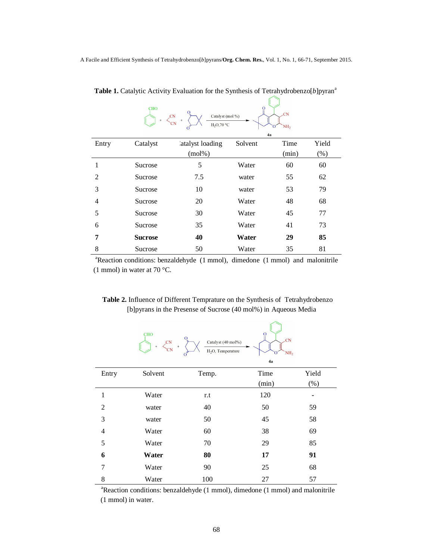A Facile and Efficient Synthesis of Tetrahydrobenzo[*b*]pyrans/**Org. Chem. Res.**, Vol. 1, No. 1, 66-71, September 2015.

|                | <b>CHO</b><br>$\mathcal{L}^{\text{CN}}$<br>$\pm$ | Catalyst (mol%)<br>$H_2O,70 °C$ | $\Omega$<br>4a | .CN<br>NH, |         |
|----------------|--------------------------------------------------|---------------------------------|----------------|------------|---------|
| Entry          | Catalyst                                         | atalyst loading                 | Solvent        | Time       | Yield   |
|                |                                                  | $(mol\%)$                       |                | (min)      | $(\% )$ |
|                | Sucrose                                          | 5                               | Water          | 60         | 60      |
| $\mathfrak{D}$ | Sucrose                                          | 7.5                             | water          | 55         | 62      |
| 3              | Sucrose                                          | 10                              | water          | 53         | 79      |
| 4              | Sucrose                                          | 20                              | Water          | 48         | 68      |
| 5              | Sucrose                                          | 30                              | Water          | 45         | 77      |
| 6              | Sucrose                                          | 35                              | Water          | 41         | 73      |
| 7              | <b>Sucrose</b>                                   | 40                              | Water          | 29         | 85      |
| 8              | Sucrose                                          | 50                              | Water          | 35         | 81      |

 **Table 1.** Catalytic Activity Evaluation for the Synthesis of Tetrahydrobenzo[*b*]pyran<sup>a</sup>

 $\sqrt{2}$ ┑

<sup>a</sup>Reaction conditions: benzaldehyde (1 mmol), dimedone (1 mmol) and malonitrile (1 mmol) in water at 70 °C.

## **Table 2.** Influence of Different Temprature on the Synthesis of Tetrahydrobenzo [b]pyrans in the Presense of Sucrose (40 mol%) in Aqueous Media

|                | <b>CHO</b><br>$\overline{C}N$<br>$+$<br>$+$<br>΄CΝ | О<br>Catalyst (40 mol%)<br>H <sub>2</sub> O, Temperature | $\mathbf{O}$<br>.CN<br>NH <sub>2</sub><br>4a |         |
|----------------|----------------------------------------------------|----------------------------------------------------------|----------------------------------------------|---------|
| Entry          | Solvent                                            | Temp.                                                    | Time                                         | Yield   |
|                |                                                    |                                                          | (min)                                        | $(\% )$ |
| 1              | Water                                              | r.t                                                      | 120                                          |         |
| $\overline{2}$ | water                                              | 40                                                       | 50                                           | 59      |
| 3              | water                                              | 50                                                       | 45                                           | 58      |
| $\overline{4}$ | Water                                              | 60                                                       | 38                                           | 69      |
| 5              | Water                                              | 70                                                       | 29                                           | 85      |
| 6              | Water                                              | 80                                                       | 17                                           | 91      |
| 7              | Water                                              | 90                                                       | 25                                           | 68      |
| 8              | Water                                              | 100                                                      | 27                                           | 57      |

<sup>a</sup>Reaction conditions: benzaldehyde (1 mmol), dimedone (1 mmol) and malonitrile (1 mmol) in water.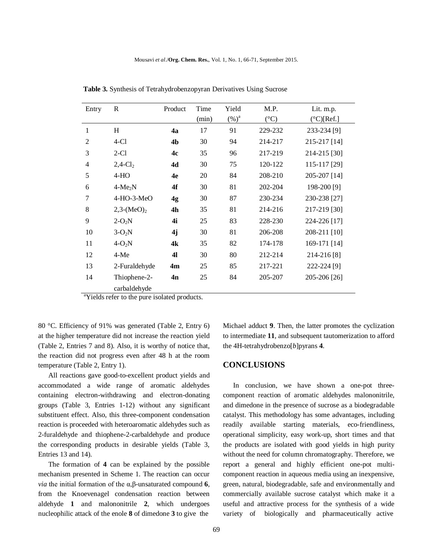| Entry          | R                      | Product        | Time<br>(min) | Yield<br>$(\%)^a$ | M.P.<br>$({}^{\circ}C)$ | Lit. m.p.<br>$(^{\circ}C)[Ref.]$ |
|----------------|------------------------|----------------|---------------|-------------------|-------------------------|----------------------------------|
| 1              | H                      | 4a             | 17            | 91                | 229-232                 | 233-234 [9]                      |
| $\overline{2}$ | $4-C1$                 | 4b             | 30            | 94                | 214-217                 | 215-217 [14]                     |
| 3              | $2-C1$                 | 4c             | 35            | 96                | 217-219                 | 214-215 [30]                     |
| $\overline{4}$ | $2,4$ -Cl <sub>2</sub> | 4d             | 30            | 75                | 120-122                 | 115-117 [29]                     |
| 5              | $4-HO$                 | 4e             | 20            | 84                | 208-210                 | 205-207 [14]                     |
| 6              | $4-Me2N$               | 4f             | 30            | 81                | 202-204                 | 198-200 [9]                      |
| 7              | $4-HO-3-MeO$           | 4 <sub>g</sub> | 30            | 87                | 230-234                 | 230-238 [27]                     |
| 8              | $2,3-(MeO)2$           | 4h             | 35            | 81                | 214-216                 | 217-219 [30]                     |
| 9              | $2-O_2N$               | 4i             | 25            | 83                | 228-230                 | 224-226 [17]                     |
| 10             | $3-O_2N$               | 4j             | 30            | 81                | 206-208                 | 208-211 [10]                     |
| 11             | $4-O_2N$               | 4k             | 35            | 82                | 174-178                 | 169-171 [14]                     |
| 12             | $4-Me$                 | 41             | 30            | 80                | 212-214                 | 214-216 [8]                      |
| 13             | 2-Furaldehyde          | 4 <sub>m</sub> | 25            | 85                | 217-221                 | 222-224 [9]                      |
| 14             | Thiophene-2-           | 4n             | 25            | 84                | 205-207                 | 205-206 [26]                     |
|                | carbaldehyde           |                |               |                   |                         |                                  |

 **Table 3.** Synthesis of Tetrahydrobenzopyran Derivatives Using Sucrose

<sup>a</sup>Yields refer to the pure isolated products.

80 °C. Efficiency of 91% was generated (Table 2, Entry 6) at the higher temperature did not increase the reaction yield (Table 2, Entries 7 and 8). Also, it is worthy of notice that, the reaction did not progress even after 48 h at the room temperature (Table 2, Entry 1).

All reactions gave good-to-excellent product yields and accommodated a wide range of aromatic aldehydes containing electron-withdrawing and electron-donating groups (Table 3, Entries 1-12) without any significant substituent effect. Also, this three-component condensation reaction is proceeded with heteroaromatic aldehydes such as 2-furaldehyde and thiophene-2-carbaldehyde and produce the corresponding products in desirable yields (Table 3, Entries 13 and 14).

The formation of **4** can be explained by the possible mechanism presented in Scheme 1. The reaction can occur *via* the initial formation of the α,β-unsaturated compound **6**, from the Knoevenagel condensation reaction between aldehyde **1** and malononitrile **2**, which undergoes nucleophilic attack of the enole **8** of dimedone **3** to give the

Michael adduct **9**. Then, the latter promotes the cyclization to intermediate **11**, and subsequent tautomerization to afford the 4H-tetrahydrobenzo[*b*]pyrans **4**.

#### **CONCLUSIONS**

In conclusion, we have shown a one-pot threecomponent reaction of aromatic aldehydes malononitrile, and dimedone in the presence of sucrose as a biodegradable catalyst. This methodology has some advantages, including readily available starting materials, eco-friendliness, operational simplicity, easy work-up, short times and that the products are isolated with good yields in high purity without the need for column chromatography. Therefore, we report a general and highly efficient one-pot multicomponent reaction in aqueous media using an inexpensive, green, natural, biodegradable, safe and environmentally and commercially available sucrose catalyst which make it a useful and attractive process for the synthesis of a wide variety of biologically and pharmaceutically active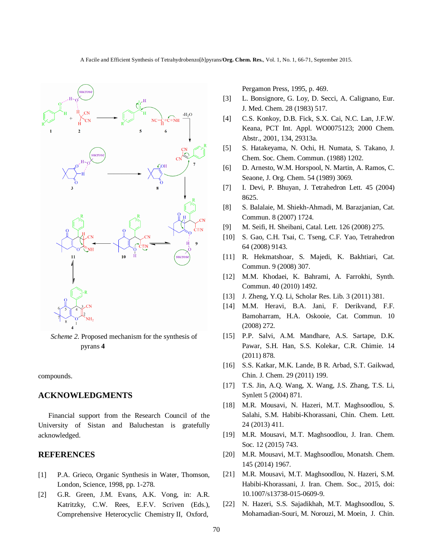

*Scheme 2.* Proposed mechanism for the synthesis of pyrans **4**

compounds.

## **ACKNOWLEDGMENTS**

Financial support from the Research Council of the University of Sistan and Baluchestan is gratefully acknowledged.

## **REFERENCES**

- [1] P.A. Grieco, Organic Synthesis in Water, Thomson, London, Science, 1998, pp. 1-278.
- [2] G.R. Green, J.M. Evans, A.K. Vong, in: A.R. Katritzky, C.W. Rees, E.F.V. Scriven (Eds.), Comprehensive Heterocyclic Chemistry II, Oxford,

Pergamon Press, 1995, p. 469.

- [3] L. Bonsignore, G. Loy, D. Secci, A. Calignano, Eur. J. Med. Chem. 28 (1983) 517.
- [4] C.S. Konkoy, D.B. Fick, S.X. Cai, N.C. Lan, J.F.W. Keana, PCT Int. Appl. WO0075123; 2000 Chem. Abstr., 2001, 134, 29313a.
- [5] S. Hatakeyama, N. Ochi, H. Numata, S*.* Takano, J. Chem. Soc. Chem. Commun. (1988) 1202.
- [6] D. Arnesto, W.M. Horspool, N. Martin, A. Ramos, C. Seaone, J. Org. Chem. 54 (1989) 3069.
- [7] I. Devi, P. Bhuyan, J. Tetrahedron Lett. 45 (2004) 8625.
- [8] S. Balalaie, M. Shiekh-Ahmadi, M. Barazjanian, Cat. Commun. 8 (2007) 1724.
- [9] M. Seifi, H. Sheibani, Catal. Lett. 126 (2008) 275.
- [10] S. Gao, C.H. Tsai, C. Tseng, C.F. Yao, Tetrahedron 64 (2008) 9143.
- [11] R. Hekmatshoar, S. Majedi, K. Bakhtiari, Cat. Commun. 9 (2008) 307.
- [12] M.M. Khodaei, K. Bahrami, A. Farrokhi, Synth. Commun. 40 (2010) 1492.
- [13] J. Zheng, Y.Q. Li, Scholar Res. Lib. 3 (2011) 381.
- [14] M.M. Heravi, B.A. Jani, F. Derikvand, F.F. Bamoharram, H.A. Oskooie, Cat. Commun. 10 (2008) 272.
- [15] P.P. Salvi, A.M. Mandhare, A.S. Sartape, D.K. Pawar, S.H. Han, S.S. Kolekar, C.R. Chimie. 14 (2011) 878.
- [16] S.S. Katkar, M.K. Lande, B R. Arbad, S.T. Gaikwad, Chin. J. Chem. 29 (2011) 199.
- [17] T.S. Jin, A.Q. Wang, X. Wang, J.S. Zhang, T.S. Li, Synlett 5 (2004) 871.
- [18] M.R. Mousavi, N. Hazeri, M.T. Maghsoodlou, S. Salahi, S.M. Habibi-Khorassani, Chin. Chem. Lett. 24 (2013) 411.
- [19] M.R. Mousavi, M.T. Maghsoodlou, J. Iran. Chem. Soc. 12 (2015) 743.
- [20] M.R. Mousavi, M.T. Maghsoodlou, Monatsh. Chem. 145 (2014) 1967.
- [21] M.R. Mousavi, M.T. Maghsoodlou, N. Hazeri, S.M. Habibi-Khorassani, J. Iran. Chem. Soc., 2015, doi: 10.1007/s13738-015-0609-9.
- [22] N. Hazeri, S.S. Sajadikhah, M.T. Maghsoodlou, S. Mohamadian-Souri, M. Norouzi, M. Moein, J. Chin.